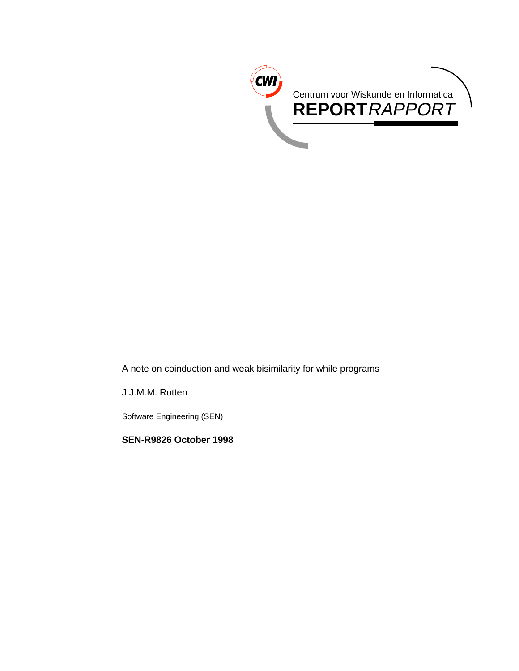

A note on coinduction and weak bisimilarity for while programs

J.J.M.M. Rutten

Software Engineering (SEN)

**SEN-R9826 October 1998**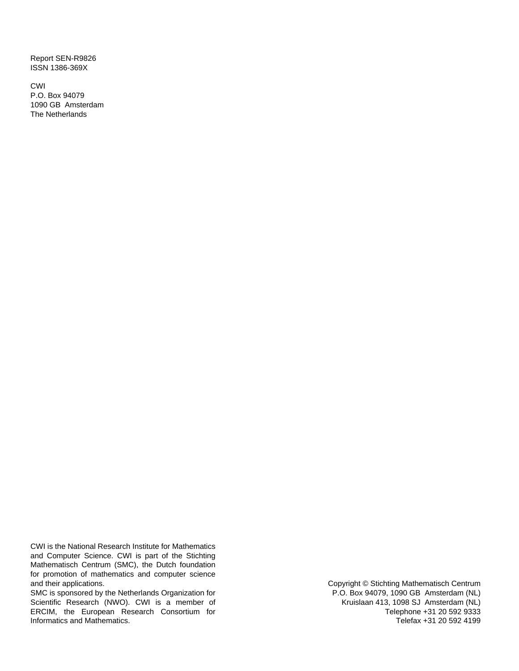Report SEN-R9826 ISSN 1386-369X

CWI P.O. Box 94079 1090 GB Amsterdam The Netherlands

CWI is the National Research Institute for Mathematics and Computer Science. CWI is part of the Stichting Mathematisch Centrum (SMC), the Dutch foundation for promotion of mathematics and computer science and their applications.

SMC is sponsored by the Netherlands Organization for Scientific Research (NWO). CWI is a member of ERCIM, the European Research Consortium for Informatics and Mathematics.

Copyright © Stichting Mathematisch Centrum P.O. Box 94079, 1090 GB Amsterdam (NL) Kruislaan 413, 1098 SJ Amsterdam (NL) Telephone +31 20 592 9333 Telefax +31 20 592 4199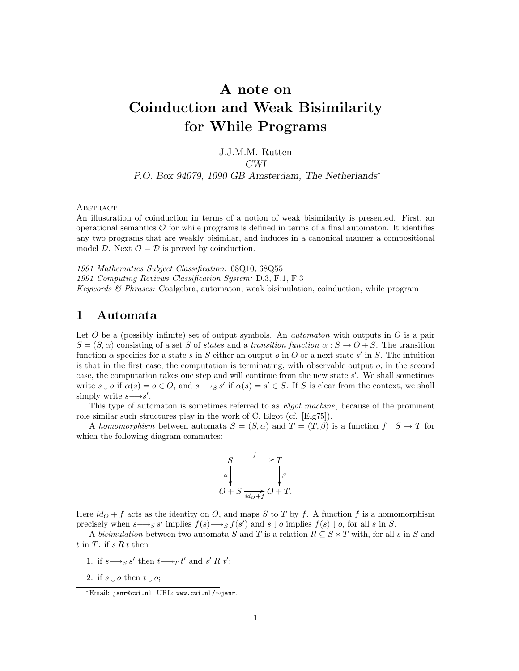# **A note on Coinduction and Weak Bisimilarity for While Programs**

#### J.J.M.M. Rutten *CWI*

#### *P.O. Box 94079, 1090 GB Amsterdam, The Netherlands*<sup>∗</sup>

**ABSTRACT** 

An illustration of coinduction in terms of a notion of weak bisimilarity is presented. First, an operational semantics  $\mathcal O$  for while programs is defined in terms of a final automaton. It identifies any two programs that are weakly bisimilar, and induces in a canonical manner a compositional model D. Next  $\mathcal{O} = \mathcal{D}$  is proved by coinduction.

1991 Mathematics Subject Classification: 68Q10, 68Q55

1991 Computing Reviews Classification System: D.3, F.1, F.3

Keywords  $\mathcal{B}$  Phrases: Coalgebra, automaton, weak bisimulation, coinduction, while program

# **1 Automata**

Let O be a (possibly infinite) set of output symbols. An *automaton* with outputs in O is a pair  $S = (S, \alpha)$  consisting of a set S of states and a transition function  $\alpha : S \to O + S$ . The transition function  $\alpha$  specifies for a state s in S either an output o in O or a next state s' in S. The intuition is that in the first case, the computation is terminating, with observable output  $o$ ; in the second case, the computation takes one step and will continue from the new state  $s'$ . We shall sometimes write  $s \downarrow o$  if  $\alpha(s) = o \in O$ , and  $s \rightarrow_{S} s'$  if  $\alpha(s) = s' \in S$ . If S is clear from the context, we shall simply write  $s \rightarrow s'$ .

This type of automaton is sometimes referred to as Elgot machine, because of the prominent role similar such structures play in the work of C. Elgot (cf. [Elg75]).

A homomorphism between automata  $S = (S, \alpha)$  and  $T = (T, \beta)$  is a function  $f : S \to T$  for which the following diagram commutes:



Here  $id<sub>O</sub> + f$  acts as the identity on O, and maps S to T by f. A function f is a homomorphism precisely when  $s \rightarrow_{S} s'$  implies  $f(s) \rightarrow_{S} f(s')$  and  $s \downarrow o$  implies  $f(s) \downarrow o$ , for all s in S.

A bisimulation between two automata S and T is a relation  $R \subseteq S \times T$  with, for all s in S and t in  $T$ : if  $sRt$  then

- 1. if  $s \rightarrow_{S} s'$  then  $t \rightarrow_{T} t'$  and  $s' R t'$ ;
- 2. if  $s \downarrow o$  then  $t \downarrow o$ ;

<sup>∗</sup>Email: janr@cwi.nl, URL: www.cwi.nl/∼janr.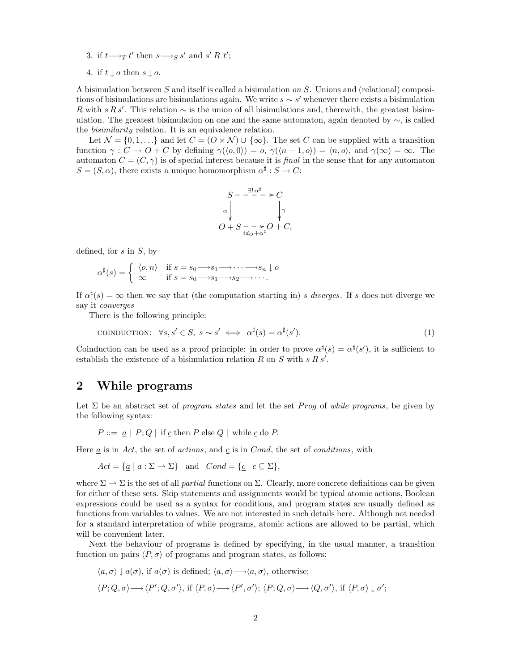3. if  $t \rightarrow_T t'$  then  $s \rightarrow_S s'$  and  $s' R t'$ ;

4. if  $t\downarrow o$  then  $s\downarrow o.$ 

A bisimulation between S and itself is called a bisimulation on S. Unions and (relational) compositions of bisimulations are bisimulations again. We write  $s \sim s'$  whenever there exists a bisimulation R with s R s'. This relation  $\sim$  is the union of all bisimulations and, therewith, the greatest bisimulation. The greatest bisimulation on one and the same automaton, again denoted by  $\sim$ , is called the bisimilarity relation. It is an equivalence relation.

Let  $\mathcal{N} = \{0, 1, \ldots\}$  and let  $C = \{O \times \mathcal{N} \} \cup \{\infty\}$ . The set C can be supplied with a transition function  $\gamma : C \to O + C$  by defining  $\gamma(\langle o, 0 \rangle) = o$ ,  $\gamma(\langle n+1, o \rangle) = \langle n, o \rangle$ , and  $\gamma(\infty) = \infty$ . The automaton  $C = (C, \gamma)$  is of special interest because it is final in the sense that for any automaton  $S = (S, \alpha)$ , there exists a unique homomorphism  $\alpha^{\sharp}: S \to C$ :

$$
S - \frac{\exists! \alpha^{\sharp}}{\alpha} > C
$$
  
\n
$$
O + S \frac{\lambda}{id_{O} + \alpha^{\sharp}} O + C,
$$

defined, for  $s$  in  $S$ , by

$$
\alpha^{\sharp}(s) = \begin{cases} \langle o, n \rangle & \text{if } s = s_0 \longrightarrow s_1 \longrightarrow \cdots \longrightarrow s_n \downarrow o \\ \infty & \text{if } s = s_0 \longrightarrow s_1 \longrightarrow s_2 \longrightarrow \cdots. \end{cases}
$$

If  $\alpha^{\sharp}(s) = \infty$  then we say that (the computation starting in) s diverges. If s does not diverge we say it converges

There is the following principle:

$$
CONDUCTION: \ \forall s, s' \in S, \ s \sim s' \iff \alpha^{\sharp}(s) = \alpha^{\sharp}(s'). \tag{1}
$$

Coinduction can be used as a proof principle: in order to prove  $\alpha^{\sharp}(s) = \alpha^{\sharp}(s')$ , it is sufficient to establish the existence of a bisimulation relation R on S with  $s R s'$ .

# **2 While programs**

Let  $\Sigma$  be an abstract set of program states and let the set Prog of while programs, be given by the following syntax:

 $P ::= \underline{a} | P; Q |$  if  $\underline{c}$  then  $P$  else  $Q |$  while  $\underline{c}$  do  $P$ .

Here  $\underline{a}$  is in Act, the set of actions, and  $\underline{c}$  is in Cond, the set of conditions, with

$$
Act = \{ \underline{a} \mid a : \Sigma \to \Sigma \} \text{ and } Cond = \{ \underline{c} \mid c \subseteq \Sigma \},
$$

where  $\Sigma \to \Sigma$  is the set of all *partial* functions on  $\Sigma$ . Clearly, more concrete definitions can be given for either of these sets. Skip statements and assignments would be typical atomic actions, Boolean expressions could be used as a syntax for conditions, and program states are usually defined as functions from variables to values. We are not interested in such details here. Although not needed for a standard interpretation of while programs, atomic actions are allowed to be partial, which will be convenient later.

Next the behaviour of programs is defined by specifying, in the usual manner, a transition function on pairs  $\langle P,\sigma \rangle$  of programs and program states, as follows:

$$
\langle \underline{a}, \sigma \rangle \downarrow a(\sigma), \text{ if } a(\sigma) \text{ is defined}; \langle \underline{a}, \sigma \rangle \longrightarrow \langle \underline{a}, \sigma \rangle, \text{ otherwise};
$$
  

$$
\langle P; Q, \sigma \rangle \longrightarrow \langle P'; Q, \sigma' \rangle, \text{ if } \langle P, \sigma \rangle \longrightarrow \langle P', \sigma' \rangle; \langle P; Q, \sigma \rangle \longrightarrow \langle Q, \sigma' \rangle, \text{ if } \langle P, \sigma \rangle \downarrow \sigma';
$$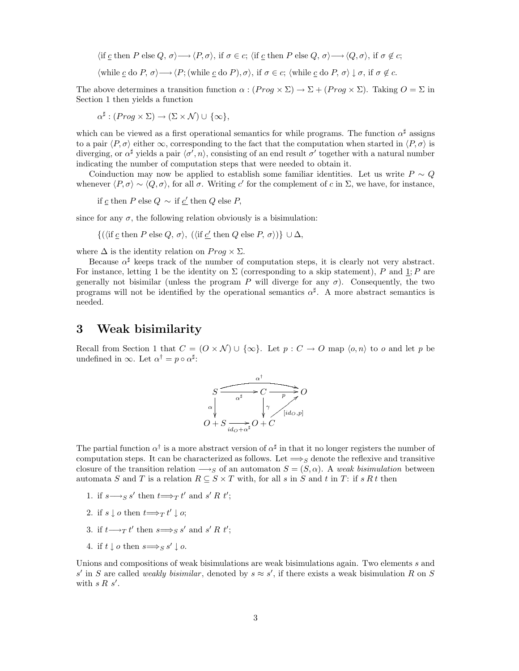$\langle \text{if } \underline{c} \text{ then } P \text{ else } Q, \sigma \rangle \longrightarrow \langle P, \sigma \rangle, \text{ if } \sigma \in c; \langle \text{if } \underline{c} \text{ then } P \text{ else } Q, \sigma \rangle \longrightarrow \langle Q, \sigma \rangle, \text{ if } \sigma \notin c;$  $\langle \text{while } c \text{ do } P, \sigma \rangle \longrightarrow \langle P; (\text{while } c \text{ do } P), \sigma \rangle$ , if  $\sigma \in c$ ;  $\langle \text{while } c \text{ do } P, \sigma \rangle \downarrow \sigma$ , if  $\sigma \notin c$ .

The above determines a transition function  $\alpha$ :  $(Prog \times \Sigma) \rightarrow \Sigma + (Prog \times \Sigma)$ . Taking  $O = \Sigma$  in Section 1 then yields a function

$$
\alpha^{\sharp} : (Prog \times \Sigma) \to (\Sigma \times \mathcal{N}) \cup \{\infty\},
$$

which can be viewed as a first operational semantics for while programs. The function  $\alpha^{\sharp}$  assigns to a pair  $\langle P,\sigma \rangle$  either  $\infty$ , corresponding to the fact that the computation when started in  $\langle P,\sigma \rangle$  is diverging, or  $\alpha^{\sharp}$  yields a pair  $\langle \sigma', n \rangle$ , consisting of an end result  $\sigma'$  together with a natural number indicating the number of computation steps that were needed to obtain it.

Coinduction may now be applied to establish some familiar identities. Let us write  $P \sim Q$ whenever  $\langle P,\sigma\rangle\sim\langle Q,\sigma\rangle$ , for all  $\sigma$ . Writing c' for the complement of c in  $\Sigma$ , we have, for instance,

if c then P else Q  $\sim$  if c' then Q else P,

since for any  $\sigma$ , the following relation obviously is a bisimulation:

 $\{(\text{if } c \text{ then } P \text{ else } Q, \sigma), (\text{if } c' \text{ then } Q \text{ else } P, \sigma)\}\cup \Delta,$ 

where  $\Delta$  is the identity relation on  $Prog \times \Sigma$ .

Because  $\alpha^{\sharp}$  keeps track of the number of computation steps, it is clearly not very abstract. For instance, letting 1 be the identity on  $\Sigma$  (corresponding to a skip statement), P and 1; P are generally not bisimilar (unless the program P will diverge for any  $\sigma$ ). Consequently, the two programs will not be identified by the operational semantics  $\alpha^{\sharp}$ . A more abstract semantics is needed.

### **3 Weak bisimilarity**

Recall from Section 1 that  $C = (O \times N) \cup \{\infty\}$ . Let  $p : C \to O$  map  $\langle o, n \rangle$  to o and let p be undefined in  $\infty$ . Let  $\alpha^{\dagger} = p \circ \alpha^{\sharp}$ :



The partial function  $\alpha^{\dagger}$  is a more abstract version of  $\alpha^{\dagger}$  in that it no longer registers the number of computation steps. It can be characterized as follows. Let  $\Longrightarrow_S$  denote the reflexive and transitive closure of the transition relation  $\longrightarrow_S$  of an automaton  $S = (S, \alpha)$ . A weak bisimulation between automata S and T is a relation  $R \subseteq S \times T$  with, for all s in S and t in T: if s R t then

- 1. if  $s \rightarrow_{S} s'$  then  $t \rightarrow_{T} t'$  and  $s' R t'$ ;
- 2. if  $s \downarrow o$  then  $t \Longrightarrow_T t' \downarrow o;$
- 3. if  $t\rightarrow_T t'$  then  $s\Rightarrow_{S} s'$  and  $s' R t'$ ;
- 4. if  $t \perp o$  then  $s \Longrightarrow_S s' \perp o$ .

Unions and compositions of weak bisimulations are weak bisimulations again. Two elements s and s' in S are called *weakly bisimilar*, denoted by  $s \approx s'$ , if there exists a weak bisimulation R on S with  $s R s'$ .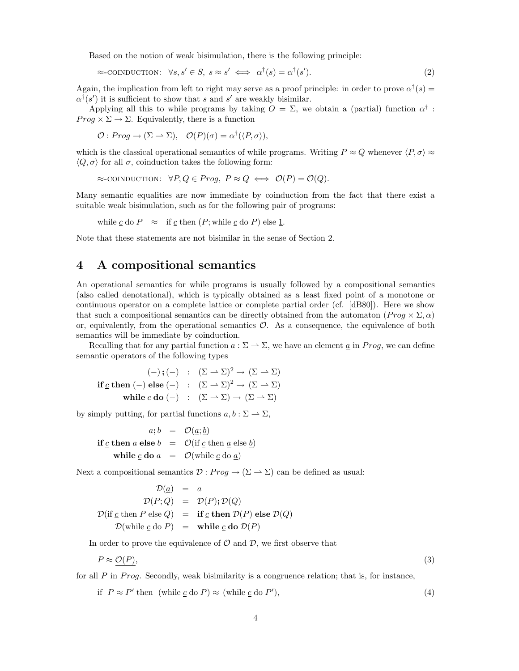Based on the notion of weak bisimulation, there is the following principle:

$$
\approx\text{conductor}:\ \forall s, s' \in S, \ s \approx s' \iff \alpha^{\dagger}(s) = \alpha^{\dagger}(s'). \tag{2}
$$

Again, the implication from left to right may serve as a proof principle: in order to prove  $\alpha^{\dagger}(s)$  =  $\alpha^{\dagger}(s')$  it is sufficient to show that s and s' are weakly bisimilar.

Applying all this to while programs by taking  $O = \Sigma$ , we obtain a (partial) function  $\alpha^{\dagger}$ :  $Prog \times \Sigma \rightarrow \Sigma$ . Equivalently, there is a function

 $\mathcal{O}: Prog \to (\Sigma \to \Sigma), \quad \mathcal{O}(P)(\sigma) = \alpha^{\dagger}(\langle P, \sigma \rangle),$ 

which is the classical operational semantics of while programs. Writing  $P \approx Q$  whenever  $\langle P, \sigma \rangle \approx$  $\langle Q, \sigma \rangle$  for all  $\sigma$ , coinduction takes the following form:

 $\approx$ -coinduction:  $\forall P, Q \in Prog$ ,  $P \approx Q \iff \mathcal{O}(P) = \mathcal{O}(Q)$ .

Many semantic equalities are now immediate by coinduction from the fact that there exist a suitable weak bisimulation, such as for the following pair of programs:

while c do  $P \approx$  if c then  $(P;$  while c do P) else 1.

Note that these statements are not bisimilar in the sense of Section 2.

# **4 A compositional semantics**

An operational semantics for while programs is usually followed by a compositional semantics (also called denotational), which is typically obtained as a least fixed point of a monotone or continuous operator on a complete lattice or complete partial order (cf. [dB80]). Here we show that such a compositional semantics can be directly obtained from the automaton  $(Proq \times \Sigma, \alpha)$ or, equivalently, from the operational semantics  $\mathcal{O}$ . As a consequence, the equivalence of both semantics will be immediate by coinduction.

Recalling that for any partial function  $a : \Sigma \to \Sigma$ , we have an element <u>a</u> in *Prog*, we can define semantic operators of the following types

 $(-)$ **;**  $(-)$  :  $(\Sigma \rightarrow \Sigma)^2$  →  $(\Sigma \rightarrow \Sigma)$ **if** c **then** (−) **else** (−) :  $(\Sigma \to \Sigma)^2 \to (\Sigma \to \Sigma)$ **while**  $c$  **do**  $(-)$  :  $(\Sigma \to \Sigma) \to (\Sigma \to \Sigma)$ 

by simply putting, for partial functions  $a, b : \Sigma \to \Sigma$ ,

 $a; b = \mathcal{O}(a;b)$ **if**  $\underline{c}$  **then**  $\underline{a}$  **else**  $\underline{b}$  =  $\mathcal{O}(\text{if } \underline{c} \text{ then } \underline{a} \text{ else } \underline{b})$ **while**  $\underline{c}$  **do**  $\underline{a}$  =  $\mathcal{O}(\text{while } \underline{c} \text{ do } \underline{a})$ 

Next a compositional semantics  $\mathcal{D}: Prog \to (\Sigma \to \Sigma)$  can be defined as usual:

$$
\mathcal{D}(\underline{a}) = a
$$
  
\n
$$
\mathcal{D}(P;Q) = \mathcal{D}(P); \mathcal{D}(Q)
$$
  
\n
$$
\mathcal{D}(\text{if } \underline{c} \text{ then } P \text{ else } Q) = \text{if } \underline{c} \text{ then } \mathcal{D}(P) \text{ else } \mathcal{D}(Q)
$$
  
\n
$$
\mathcal{D}(\text{while } \underline{c} \text{ do } P) = \text{while } \underline{c} \text{ do } \mathcal{D}(P)
$$

In order to prove the equivalence of  $\mathcal O$  and  $\mathcal D$ , we first observe that

$$
P \approx \mathcal{O}(P),\tag{3}
$$

for all  $P$  in  $Prog$ . Secondly, weak bisimilarity is a congruence relation; that is, for instance,

if 
$$
P \approx P'
$$
 then (while  $\underline{c}$  do  $P$ )  $\approx$  (while  $\underline{c}$  do  $P'$ ), (4)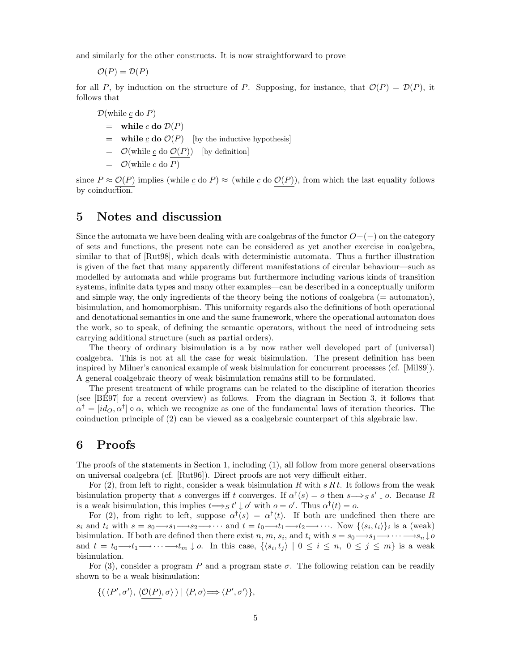and similarly for the other constructs. It is now straightforward to prove

 $\mathcal{O}(P) = \mathcal{D}(P)$ 

for all P, by induction on the structure of P. Supposing, for instance, that  $\mathcal{O}(P) = \mathcal{D}(P)$ , it follows that

 $\mathcal{D}(\text{while }c\text{ do }P)$ 

- $=$  while <u>c</u> do  $\mathcal{D}(P)$
- $=$  **while**  $\underline{c}$  **do**  $\mathcal{O}(P)$  [by the inductive hypothesis]
- $=$   $\mathcal{O}(\text{while } \underline{c} \text{ do } \mathcal{O}(P))$  [by definition]
- $=$   $\mathcal{O}(\text{while } c \text{ do } P)$

since  $P \approx \mathcal{O}(P)$  implies (while  $\underline{c}$  do  $P$ )  $\approx$  (while  $\underline{c}$  do  $\mathcal{O}(P)$ ), from which the last equality follows by coinduction.

## **5 Notes and discussion**

Since the automata we have been dealing with are coalgebras of the functor  $O+(-)$  on the category of sets and functions, the present note can be considered as yet another exercise in coalgebra, similar to that of [Rut98], which deals with deterministic automata. Thus a further illustration is given of the fact that many apparently different manifestations of circular behaviour—such as modelled by automata and while programs but furthermore including various kinds of transition systems, infinite data types and many other examples—can be described in a conceptually uniform and simple way, the only ingredients of the theory being the notions of coalgebra  $(=$  automaton), bisimulation, and homomorphism. This uniformity regards also the definitions of both operational and denotational semantics in one and the same framework, where the operational automaton does the work, so to speak, of defining the semantic operators, without the need of introducing sets carrying additional structure (such as partial orders).

The theory of ordinary bisimulation is a by now rather well developed part of (universal) coalgebra. This is not at all the case for weak bisimulation. The present definition has been inspired by Milner's canonical example of weak bisimulation for concurrent processes (cf. [Mil89]). A general coalgebraic theory of weak bisimulation remains still to be formulated.

The present treatment of while programs can be related to the discipline of iteration theories (see [BE97] for a recent overview) as follows. From the diagram in Section 3, it follows that ´  $\alpha^{\dagger} = [id_{\mathcal{O}}, \alpha^{\dagger}] \circ \alpha$ , which we recognize as one of the fundamental laws of iteration theories. The coinduction principle of (2) can be viewed as a coalgebraic counterpart of this algebraic law.

## **6 Proofs**

The proofs of the statements in Section 1, including (1), all follow from more general observations on universal coalgebra (cf. [Rut96]). Direct proofs are not very difficult either.

For  $(2)$ , from left to right, consider a weak bisimulation R with sRt. It follows from the weak bisimulation property that s converges iff t converges. If  $\alpha^{\dagger}(s) = o$  then  $s \Longrightarrow_S s' \downarrow o$ . Because R is a weak bisimulation, this implies  $t \Longrightarrow_S t' \downarrow o'$  with  $o = o'$ . Thus  $\alpha^{\dagger}(t) = o$ .

For (2), from right to left, suppose  $\alpha^{\dagger}(s) = \alpha^{\dagger}(t)$ . If both are undefined then there are  $s_i$  and  $t_i$  with  $s = s_0 \rightarrow s_1 \rightarrow s_2 \rightarrow \cdots$  and  $t = t_0 \rightarrow t_1 \rightarrow t_2 \rightarrow \cdots$ . Now  $\{\langle s_i, t_i \rangle\}_i$  is a (weak) bisimulation. If both are defined then there exist  $n, m, s_i$ , and  $t_i$  with  $s = s_0 \rightarrow s_1 \rightarrow \cdots \rightarrow s_n \downarrow o$ and  $t = t_0 \rightarrow t_1 \rightarrow \cdots \rightarrow t_m \downarrow o$ . In this case,  $\{\langle s_i, t_j \rangle \mid 0 \leq i \leq n, 0 \leq j \leq m\}$  is a weak bisimulation.

For (3), consider a program P and a program state  $\sigma$ . The following relation can be readily shown to be a weak bisimulation:

$$
\{(\langle P',\sigma'\rangle,\langle \mathcal{O}(P),\sigma\rangle) \mid \langle P,\sigma\rangle \Longrightarrow \langle P',\sigma'\rangle\},\
$$